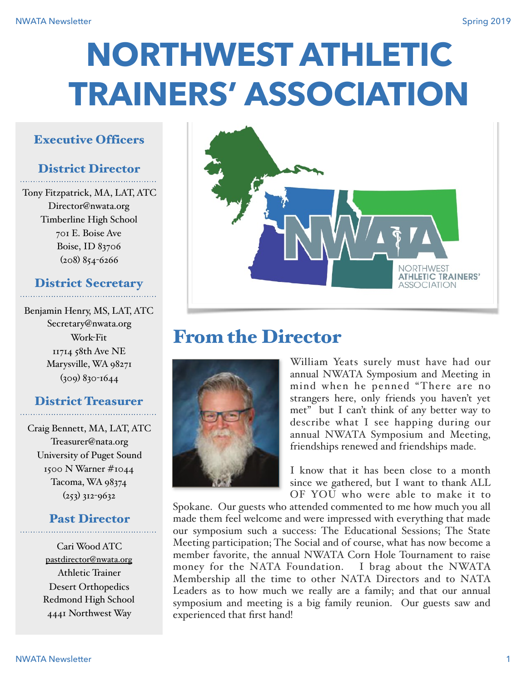# **NORTHWEST ATHLETIC TRAINERS' ASSOCIATION**

## Executive Officers

# District Director

Tony Fitzpatrick, MA, LAT, ATC Director@nwata.org Timberline High School 701 E. Boise Ave Boise, ID 83706 (208) 854-6266

# District Secretary

Benjamin Henry, MS, LAT, ATC Secretary@nwata.org Work-Fit 11714 58th Ave NE Marysville, WA 98271 (309) 830-1644

## District Treasurer

Craig Bennett, MA, LAT, ATC Treasurer@nata.org University of Puget Sound 1500 N Warner #1044 Tacoma, WA 98374  $(253)$  312-9632

## Past Director

Cari Wood ATC [pastdirector@nwata.org](mailto:pastdirector@nwata.org) Athletic Trainer Desert Orthopedics Redmond High School 4441 Northwest Way



# From the Director



William Yeats surely must have had our annual NWATA Symposium and Meeting in mind when he penned "There are no strangers here, only friends you haven't yet met" but I can't think of any better way to describe what I see happing during our annual NWATA Symposium and Meeting, friendships renewed and friendships made.

I know that it has been close to a month since we gathered, but I want to thank ALL OF YOU who were able to make it to

Spokane. Our guests who attended commented to me how much you all made them feel welcome and were impressed with everything that made our symposium such a success: The Educational Sessions; The State Meeting participation; The Social and of course, what has now become a member favorite, the annual NWATA Corn Hole Tournament to raise money for the NATA Foundation. I brag about the NWATA Membership all the time to other NATA Directors and to NATA Leaders as to how much we really are a family; and that our annual symposium and meeting is a big family reunion. Our guests saw and experienced that first hand!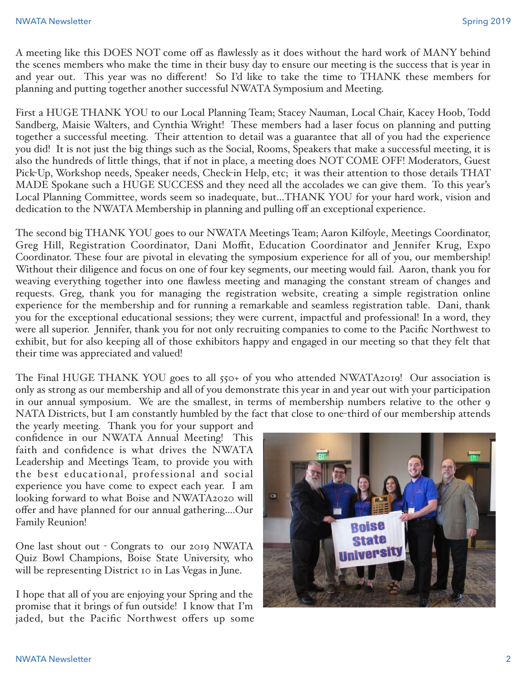A meeting like this DOES NOT come off as flawlessly as it does without the hard work of MANY behind the scenes members who make the time in their busy day to ensure our meeting is the success that is year in and year out. This year was no different! So I'd like to take the time to THANK these members for planning and putting together another successful NWATA Symposium and Meeting.

First a HUGE THANK YOU to our Local Planning Team; Stacey Nauman, Local Chair, Kacey Hoob, Todd Sandberg, Maisie Walters, and Cynthia Wright! These members had a laser focus on planning and putting together a successful meeting. Their attention to detail was a guarantee that all of you had the experience you did! It is not just the big things such as the Social, Rooms, Speakers that make a successful meeting, it is also the hundreds of little things, that if not in place, a meeting does NOT COME OFF! Moderators, Guest Pick-Up, Workshop needs, Speaker needs, Check-in Help, etc; it was their attention to those details THAT MADE Spokane such a HUGE SUCCESS and they need all the accolades we can give them. To this year's Local Planning Committee, words seem so inadequate, but…THANK YOU for your hard work, vision and dedication to the NWATA Membership in planning and pulling off an exceptional experience.

The second big THANK YOU goes to our NWATA Meetings Team; Aaron Kilfoyle, Meetings Coordinator, Greg Hill, Registration Coordinator, Dani Moffit, Education Coordinator and Jennifer Krug, Expo Coordinator. These four are pivotal in elevating the symposium experience for all of you, our membership! Without their diligence and focus on one of four key segments, our meeting would fail. Aaron, thank you for weaving everything together into one flawless meeting and managing the constant stream of changes and requests. Greg, thank you for managing the registration website, creating a simple registration online experience for the membership and for running a remarkable and seamless registration table. Dani, thank you for the exceptional educational sessions; they were current, impactful and professional! In a word, they were all superior. Jennifer, thank you for not only recruiting companies to come to the Pacific Northwest to exhibit, but for also keeping all of those exhibitors happy and engaged in our meeting so that they felt that their time was appreciated and valued!

The Final HUGE THANK YOU goes to all 550+ of you who attended NWATA2019! Our association is only as strong as our membership and all of you demonstrate this year in and year out with your participation in our annual symposium. We are the smallest, in terms of membership numbers relative to the other 9 NATA Districts, but I am constantly humbled by the fact that close to one-third of our membership attends

the yearly meeting. Thank you for your support and confidence in our NWATA Annual Meeting! This faith and confidence is what drives the NWATA Leadership and Meetings Team, to provide you with the best educational, professional and social experience you have come to expect each year. I am looking forward to what Boise and NWATA2020 will offer and have planned for our annual gathering….Our Family Reunion!

One last shout out - Congrats to our 2019 NWATA Quiz Bowl Champions, Boise State University, who will be representing District 10 in Las Vegas in June.

I hope that all of you are enjoying your Spring and the promise that it brings of fun outside! I know that I'm jaded, but the Pacific Northwest offers up some

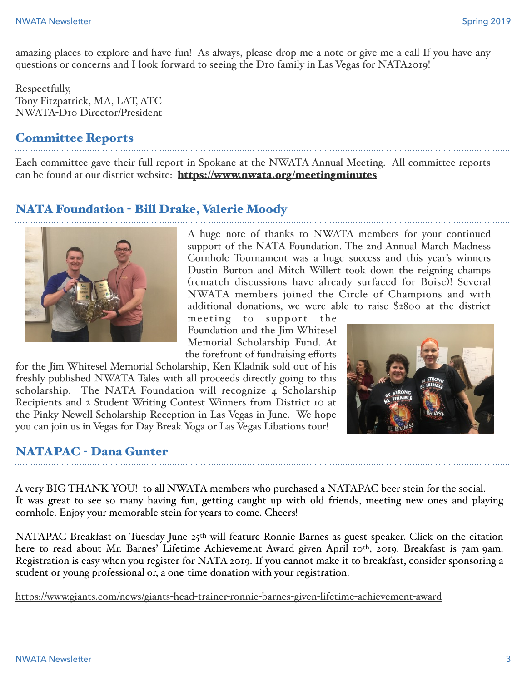amazing places to explore and have fun! As always, please drop me a note or give me a call If you have any questions or concerns and I look forward to seeing the D10 family in Las Vegas for NATA2019!

Respectfully, Tony Fitzpatrick, MA, LAT, ATC NWATA-D10 Director/President

## Committee Reports

Each committee gave their full report in Spokane at the NWATA Annual Meeting. All committee reports can be found at our district website: <https://www.nwata.org/meetingminutes>

## NATA Foundation - Bill Drake, Valerie Moody



A huge note of thanks to NWATA members for your continued support of the NATA Foundation. The 2nd Annual March Madness Cornhole Tournament was a huge success and this year's winners Dustin Burton and Mitch Willert took down the reigning champs (rematch discussions have already surfaced for Boise)! Several NWATA members joined the Circle of Champions and with additional donations, we were able to raise \$2800 at the district

meeting to support the Foundation and the Jim Whitesel Memorial Scholarship Fund. At the forefront of fundraising efforts

for the Jim Whitesel Memorial Scholarship, Ken Kladnik sold out of his freshly published NWATA Tales with all proceeds directly going to this scholarship. The NATA Foundation will recognize 4 Scholarship Recipients and 2 Student Writing Contest Winners from District 10 at the Pinky Newell Scholarship Reception in Las Vegas in June. We hope you can join us in Vegas for Day Break Yoga or Las Vegas Libations tour!



#### NATAPAC - Dana Gunter

A very BIG THANK YOU! to all NWATA members who purchased a NATAPAC beer stein for the social. It was great to see so many having fun, getting caught up with old friends, meeting new ones and playing cornhole. Enjoy your memorable stein for years to come. Cheers!

NATAPAC Breakfast on Tuesday June  $25<sup>th</sup>$  will feature Ronnie Barnes as guest speaker. Click on the citation here to read about Mr. Barnes' Lifetime Achievement Award given April 10th, 2019. Breakfast is 7am-9am. Registration is easy when you register for NATA 2019. If you cannot make it to breakfast, consider sponsoring a student or young professional or, a one-time donation with your registration.

[https://www.giants.com/news/giants](https://www.giants.com/news/giants-head-trainer-ronnie-barnes-given-lifetime-achievement-award)-head-trainer-ronnie-barnes-given-lifetime-achievement-award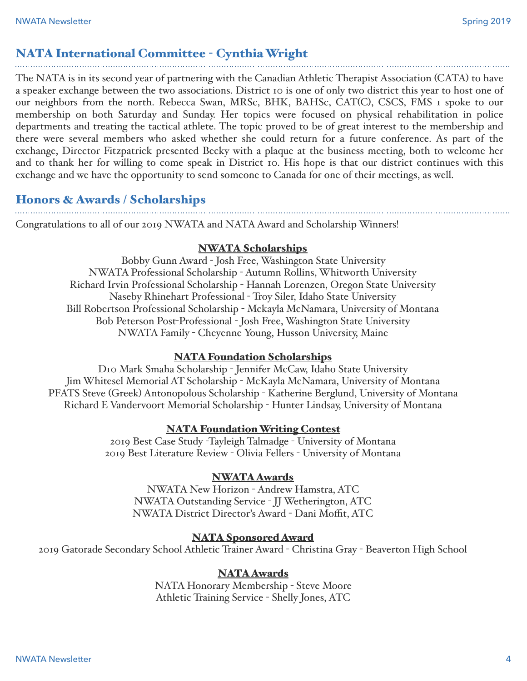# NATA International Committee - Cynthia Wright

The NATA is in its second year of partnering with the Canadian Athletic Therapist Association (CATA) to have a speaker exchange between the two associations. District 10 is one of only two district this year to host one of our neighbors from the north. Rebecca Swan, MRSc, BHK, BAHSc, CAT(C), CSCS, FMS 1 spoke to our membership on both Saturday and Sunday. Her topics were focused on physical rehabilitation in police departments and treating the tactical athlete. The topic proved to be of great interest to the membership and there were several members who asked whether she could return for a future conference. As part of the exchange, Director Fitzpatrick presented Becky with a plaque at the business meeting, both to welcome her and to thank her for willing to come speak in District 10. His hope is that our district continues with this exchange and we have the opportunity to send someone to Canada for one of their meetings, as well.

# Honors & Awards / Scholarships

Congratulations to all of our 2019 NWATA and NATA Award and Scholarship Winners!

#### NWATA Scholarships

Bobby Gunn Award - Josh Free, Washington State University NWATA Professional Scholarship - Autumn Rollins, Whitworth University Richard Irvin Professional Scholarship - Hannah Lorenzen, Oregon State University Naseby Rhinehart Professional - Troy Siler, Idaho State University Bill Robertson Professional Scholarship - Mckayla McNamara, University of Montana Bob Peterson Post-Professional - Josh Free, Washington State University NWATA Family - Cheyenne Young, Husson University, Maine

#### NATA Foundation Scholarships

D10 Mark Smaha Scholarship - Jennifer McCaw, Idaho State University Jim Whitesel Memorial AT Scholarship - McKayla McNamara, University of Montana PFATS Steve (Greek) Antonopolous Scholarship - Katherine Berglund, University of Montana Richard E Vandervoort Memorial Scholarship - Hunter Lindsay, University of Montana

#### NATA Foundation Writing Contest

2019 Best Case Study -Tayleigh Talmadge - University of Montana 2019 Best Literature Review - Olivia Fellers - University of Montana

#### NWATA Awards

NWATA New Horizon - Andrew Hamstra, ATC NWATA Outstanding Service - JJ Wetherington, ATC NWATA District Director's Award - Dani Moffit, ATC

#### NATA Sponsored Award

2019 Gatorade Secondary School Athletic Trainer Award - Christina Gray - Beaverton High School

#### NATA Awards

NATA Honorary Membership - Steve Moore Athletic Training Service - Shelly Jones, ATC